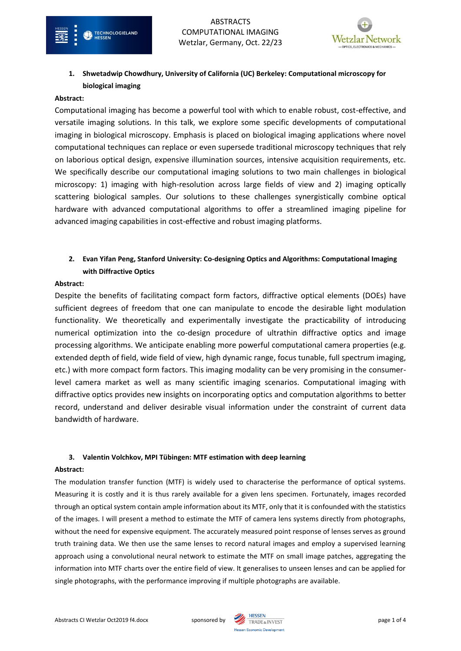

# **1. Shwetadwip Chowdhury, University of California (UC) Berkeley: Computational microscopy for biological imaging**

### **Abstract:**

TECHNOLOGIELAND

Computational imaging has become a powerful tool with which to enable robust, cost-effective, and versatile imaging solutions. In this talk, we explore some specific developments of computational imaging in biological microscopy. Emphasis is placed on biological imaging applications where novel computational techniques can replace or even supersede traditional microscopy techniques that rely on laborious optical design, expensive illumination sources, intensive acquisition requirements, etc. We specifically describe our computational imaging solutions to two main challenges in biological microscopy: 1) imaging with high-resolution across large fields of view and 2) imaging optically scattering biological samples. Our solutions to these challenges synergistically combine optical hardware with advanced computational algorithms to offer a streamlined imaging pipeline for advanced imaging capabilities in cost-effective and robust imaging platforms.

# **2. Evan Yifan Peng, Stanford University: Co-designing Optics and Algorithms: Computational Imaging with Diffractive Optics**

### **Abstract:**

Despite the benefits of facilitating compact form factors, diffractive optical elements (DOEs) have sufficient degrees of freedom that one can manipulate to encode the desirable light modulation functionality. We theoretically and experimentally investigate the practicability of introducing numerical optimization into the co-design procedure of ultrathin diffractive optics and image processing algorithms. We anticipate enabling more powerful computational camera properties (e.g. extended depth of field, wide field of view, high dynamic range, focus tunable, full spectrum imaging, etc.) with more compact form factors. This imaging modality can be very promising in the consumerlevel camera market as well as many scientific imaging scenarios. Computational imaging with diffractive optics provides new insights on incorporating optics and computation algorithms to better record, understand and deliver desirable visual information under the constraint of current data bandwidth of hardware.

## **3. Valentin Volchkov, MPI Tübingen: MTF estimation with deep learning**

#### **Abstract:**

The modulation transfer function (MTF) is widely used to characterise the performance of optical systems. Measuring it is costly and it is thus rarely available for a given lens specimen. Fortunately, images recorded through an optical system contain ample information about its MTF, only that it is confounded with the statistics of the images. I will present a method to estimate the MTF of camera lens systems directly from photographs, without the need for expensive equipment. The accurately measured point response of lenses serves as ground truth training data. We then use the same lenses to record natural images and employ a supervised learning approach using a convolutional neural network to estimate the MTF on small image patches, aggregating the information into MTF charts over the entire field of view. It generalises to unseen lenses and can be applied for single photographs, with the performance improving if multiple photographs are available.

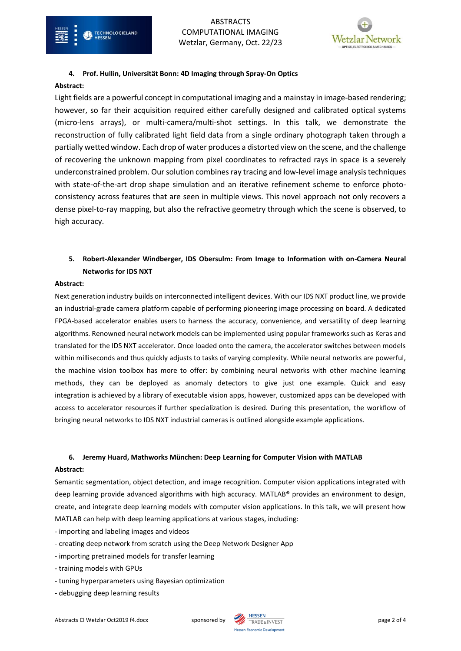

## **4. Prof. Hullin, Universität Bonn: 4D Imaging through Spray-On Optics**

## **Abstract:**

Light fields are a powerful concept in computational imaging and a mainstay in image-based rendering; however, so far their acquisition required either carefully designed and calibrated optical systems (micro-lens arrays), or multi-camera/multi-shot settings. In this talk, we demonstrate the reconstruction of fully calibrated light field data from a single ordinary photograph taken through a partially wetted window. Each drop of water produces a distorted view on the scene, and the challenge of recovering the unknown mapping from pixel coordinates to refracted rays in space is a severely underconstrained problem. Our solution combines ray tracing and low-level image analysis techniques with state-of-the-art drop shape simulation and an iterative refinement scheme to enforce photoconsistency across features that are seen in multiple views. This novel approach not only recovers a dense pixel-to-ray mapping, but also the refractive geometry through which the scene is observed, to high accuracy.

# **5. Robert-Alexander Windberger, IDS Obersulm: From Image to Information with on-Camera Neural Networks for IDS NXT**

## **Abstract:**

Next generation industry builds on interconnected intelligent devices. With our IDS NXT product line, we provide an industrial-grade camera platform capable of performing pioneering image processing on board. A dedicated FPGA-based accelerator enables users to harness the accuracy, convenience, and versatility of deep learning algorithms. Renowned neural network models can be implemented using popular frameworks such as Keras and translated for the IDS NXT accelerator. Once loaded onto the camera, the accelerator switches between models within milliseconds and thus quickly adjusts to tasks of varying complexity. While neural networks are powerful, the machine vision toolbox has more to offer: by combining neural networks with other machine learning methods, they can be deployed as anomaly detectors to give just one example. Quick and easy integration is achieved by a library of executable vision apps, however, customized apps can be developed with access to accelerator resources if further specialization is desired. During this presentation, the workflow of bringing neural networks to IDS NXT industrial cameras is outlined alongside example applications.

## **6. Jeremy Huard, Mathworks München: Deep Learning for Computer Vision with MATLAB**

## **Abstract:**

Semantic segmentation, object detection, and image recognition. Computer vision applications integrated with deep learning provide advanced algorithms with high accuracy. MATLAB® provides an environment to design, create, and integrate deep learning models with computer vision applications. In this talk, we will present how MATLAB can help with deep learning applications at various stages, including:

- importing and labeling images and videos
- creating deep network from scratch using the Deep Network Designer App
- importing pretrained models for transfer learning
- training models with GPUs
- tuning hyperparameters using Bayesian optimization
- debugging deep learning results

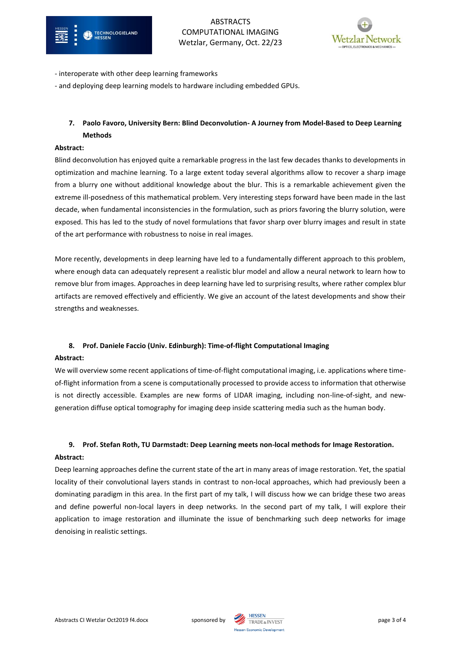

ABSTRACTS COMPUTATIONAL IMAGING Wetzlar, Germany, Oct. 22/23



- interoperate with other deep learning frameworks
- and deploying deep learning models to hardware including embedded GPUs.

## **7. Paolo Favoro, University Bern: Blind Deconvolution- A Journey from Model-Based to Deep Learning Methods**

### **Abstract:**

Blind deconvolution has enjoyed quite a remarkable progress in the last few decades thanks to developments in optimization and machine learning. To a large extent today several algorithms allow to recover a sharp image from a blurry one without additional knowledge about the blur. This is a remarkable achievement given the extreme ill-posedness of this mathematical problem. Very interesting steps forward have been made in the last decade, when fundamental inconsistencies in the formulation, such as priors favoring the blurry solution, were exposed. This has led to the study of novel formulations that favor sharp over blurry images and result in state of the art performance with robustness to noise in real images.

More recently, developments in deep learning have led to a fundamentally different approach to this problem, where enough data can adequately represent a realistic blur model and allow a neural network to learn how to remove blur from images. Approaches in deep learning have led to surprising results, where rather complex blur artifacts are removed effectively and efficiently. We give an account of the latest developments and show their strengths and weaknesses.

## **8. Prof. Daniele Faccio (Univ. Edinburgh): Time-of-flight Computational Imaging**

## **Abstract:**

We will overview some recent applications of time-of-flight computational imaging, i.e. applications where timeof-flight information from a scene is computationally processed to provide access to information that otherwise is not directly accessible. Examples are new forms of LIDAR imaging, including non-line-of-sight, and newgeneration diffuse optical tomography for imaging deep inside scattering media such as the human body.

# **9. Prof. Stefan Roth, TU Darmstadt: Deep Learning meets non-local methods for Image Restoration. Abstract:**

Deep learning approaches define the current state of the art in many areas of image restoration. Yet, the spatial locality of their convolutional layers stands in contrast to non-local approaches, which had previously been a dominating paradigm in this area. In the first part of my talk, I will discuss how we can bridge these two areas and define powerful non-local layers in deep networks. In the second part of my talk, I will explore their application to image restoration and illuminate the issue of benchmarking such deep networks for image denoising in realistic settings.